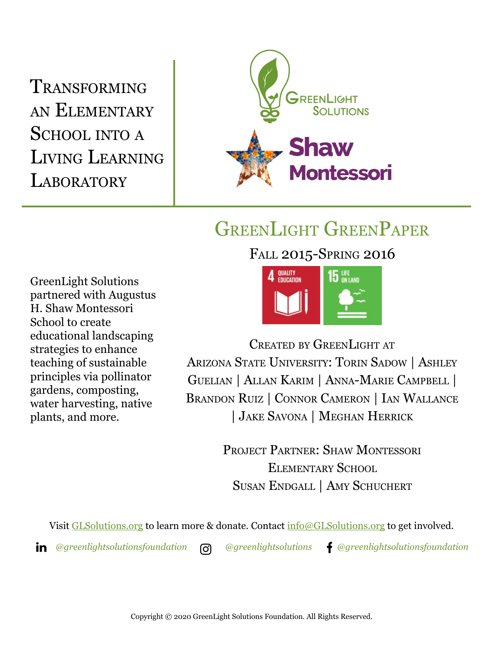TRANSFORMING AN ELEMENTARY SCHOOL INTO <sup>A</sup> LIVING LEARNING LABORATORY



## GREENLIGHT GREENPAPER

FALL 2015-SPRING 2016

GreenLight Solutions partnered with Augustus H. Shaw Montessori School to create educational landscaping strategies to enhance teaching of sustainable principles via pollinator gardens, composting, water harvesting, native plants, and more.



CREATED BY GREENLIGHT AT ARIZONA STATE UNIVERSITY: TORIN SADOW | ASHLEY GUELIAN | ALLAN KARIM | ANNA-MARIE CAMPBELL | BRANDON RUIZ | CONNOR CAMERON | IAN WALLANCE | JAKE SAVONA | MEGHAN HERRICK

> PROJECT PARTNER: SHAW MONTESSORI ELEMENTARY SCHOOL SUSAN ENDGALL | AMY SCHUCHERT

Visit [GLSolutions.org](https://www.glsolutions.org/) to learn more & donate. Contact  $\frac{info@GLSolutions.org}{info@GLSolutions.org}$  to get involved.

*[@greenlightsolutionsfoundation](https://www.linkedin.com/company/10571635) [@greenlightsolutions](https://www.instagram.com/greenlightsolutions/) [@greenlightsolutionsfoundation](https://www.facebook.com/GreenLightSolutionsFoundation/)*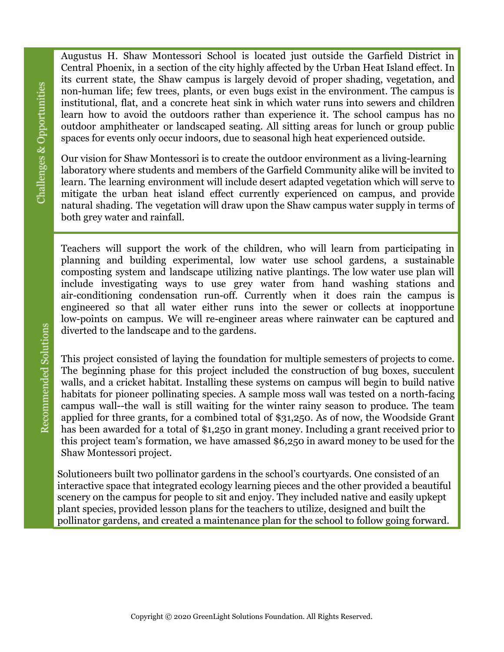Augustus H. Shaw Montessori School is located just outside the Garfield District in Central Phoenix, in a section of the city highly affected by the Urban Heat Island effect. In its current state, the Shaw campus is largely devoid of proper shading, vegetation, and non-human life; few trees, plants, or even bugs exist in the environment. The campus is institutional, flat, and a concrete heat sink in which water runs into sewers and children learn how to avoid the outdoors rather than experience it. The school campus has no outdoor amphitheater or landscaped seating. All sitting areas for lunch or group public spaces for events only occur indoors, due to seasonal high heat experienced outside.

Our vision for Shaw Montessori is to create the outdoor environment as a living-learning laboratory where students and members of the Garfield Community alike will be invited to learn. The learning environment will include desert adapted vegetation which will serve to mitigate the urban heat island effect currently experienced on campus, and provide natural shading. The vegetation will draw upon the Shaw campus water supply in terms of both grey water and rainfall.

Teachers will support the work of the children, who will learn from participating in planning and building experimental, low water use school gardens, a sustainable composting system and landscape utilizing native plantings. The low water use plan will include investigating ways to use grey water from hand washing stations and air-conditioning condensation run-off. Currently when it does rain the campus is engineered so that all water either runs into the sewer or collects at inopportune low-points on campus. We will re-engineer areas where rainwater can be captured and diverted to the landscape and to the gardens.

This project consisted of laying the foundation for multiple semesters of projects to come. The beginning phase for this project included the construction of bug boxes, succulent walls, and a cricket habitat. Installing these systems on campus will begin to build native habitats for pioneer pollinating species. A sample moss wall was tested on a north-facing campus wall--the wall is still waiting for the winter rainy season to produce. The team applied for three grants, for a combined total of \$31,250. As of now, the Woodside Grant has been awarded for a total of \$1,250 in grant money. Including a grant received prior to this project team's formation, we have amassed \$6,250 in award money to be used for the Shaw Montessori project.

Solutioneers built two pollinator gardens in the school's courtyards. One consisted of an interactive space that integrated ecology learning pieces and the other provided a beautiful scenery on the campus for people to sit and enjoy. They included native and easily upkept plant species, provided lesson plans for the teachers to utilize, designed and built the pollinator gardens, and created a maintenance plan for the school to follow going forward.